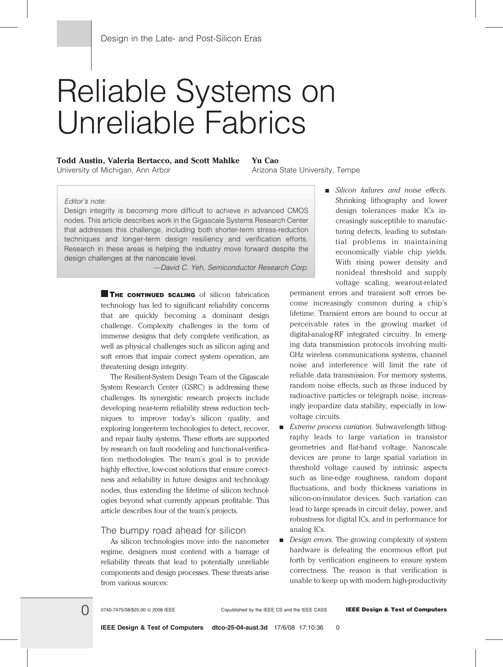# Reliable Systems on Unreliable Fabrics

## Todd Austin, Valeria Bertacco, and Scott Mahlke

University of Michigan, Ann Arbor

## Yu Cao

Arizona State University, Tempe

#### Editor's note:

Design integrity is becoming more difficult to achieve in advanced CMOS nodes. This article describes work in the Gigascale Systems Research Center that addresses this challenge, including both shorter-term stress-reduction techniques and longer-term design resiliency and verification efforts. Research in these areas is helping the industry move forward despite the design challenges at the nanoscale level.

—David C. Yeh, Semiconductor Research Corp.

**THE CONTINUED SCALING** of silicon fabrication technology has led to significant reliability concerns that are quickly becoming a dominant design challenge. Complexity challenges in the form of immense designs that defy complete verification, as well as physical challenges such as silicon aging and soft errors that impair correct system operation, are threatening design integrity.

The Resilient-System Design Team of the Gigascale System Research Center (GSRC) is addressing these challenges. Its synergistic research projects include developing near-term reliability stress reduction techniques to improve today's silicon quality, and exploring longer-term technologies to detect, recover, and repair faulty systems. These efforts are supported by research on fault modeling and functional-verification methodologies. The team's goal is to provide highly effective, low-cost solutions that ensure correctness and reliability in future designs and technology nodes, thus extending the lifetime of silicon technologies beyond what currently appears profitable. This article describes four of the team's projects.

## The bumpy road ahead for silicon

As silicon technologies move into the nanometer regime, designers must contend with a barrage of reliability threats that lead to potentially unreliable components and design processes. These threats arise from various sources:

**B** Silicon failures and noise effects. Shrinking lithography and lower design tolerances make ICs increasingly susceptible to manufacturing defects, leading to substantial problems in maintaining economically viable chip yields. With rising power density and nonideal threshold and supply voltage scaling, wearout-related

permanent errors and transient soft errors become increasingly common during a chip's lifetime. Transient errors are bound to occur at perceivable rates in the growing market of digital-analog-RF integrated circuitry. In emerging data transmission protocols involving multi-GHz wireless communications systems, channel noise and interference will limit the rate of reliable data transmission. For memory systems, random noise effects, such as those induced by radioactive particles or telegraph noise, increasingly jeopardize data stability, especially in lowvoltage circuits.

- Extreme process variation. Subwavelength lithography leads to large variation in transistor geometries and flat-band voltage. Nanoscale devices are prone to large spatial variation in threshold voltage caused by intrinsic aspects such as line-edge roughness, random dopant fluctuations, and body thickness variations in silicon-on-insulator devices. Such variation can lead to large spreads in circuit delay, power, and robustness for digital ICs, and in performance for analog ICs.
- Design errors. The growing complexity of system hardware is defeating the enormous effort put forth by verification engineers to ensure system correctness. The reason is that verification is unable to keep up with modern high-productivity

 $\left( \right)$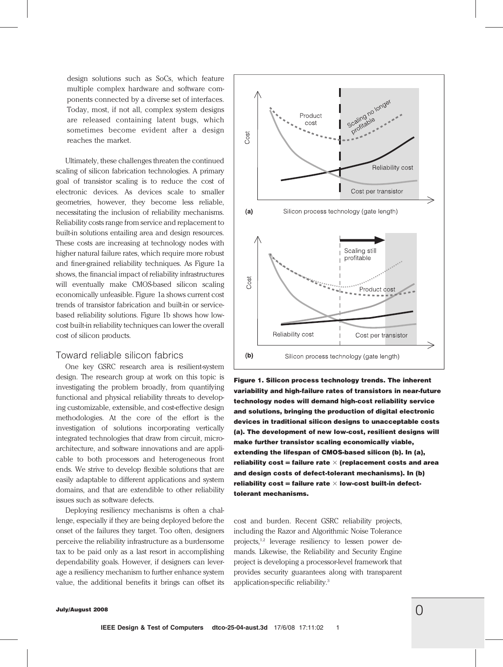design solutions such as SoCs, which feature multiple complex hardware and software components connected by a diverse set of interfaces. Today, most, if not all, complex system designs are released containing latent bugs, which sometimes become evident after a design reaches the market.

Ultimately, these challenges threaten the continued scaling of silicon fabrication technologies. A primary goal of transistor scaling is to reduce the cost of electronic devices. As devices scale to smaller geometries, however, they become less reliable, necessitating the inclusion of reliability mechanisms. Reliability costs range from service and replacement to built-in solutions entailing area and design resources. These costs are increasing at technology nodes with higher natural failure rates, which require more robust and finer-grained reliability techniques. As Figure 1a shows, the financial impact of reliability infrastructures will eventually make CMOS-based silicon scaling economically unfeasible. Figure 1a shows current cost trends of transistor fabrication and built-in or servicebased reliability solutions. Figure 1b shows how lowcost built-in reliability techniques can lower the overall cost of silicon products.

## Toward reliable silicon fabrics

One key GSRC research area is resilient-system design. The research group at work on this topic is investigating the problem broadly, from quantifying functional and physical reliability threats to developing customizable, extensible, and cost-effective design methodologies. At the core of the effort is the investigation of solutions incorporating vertically integrated technologies that draw from circuit, microarchitecture, and software innovations and are applicable to both processors and heterogeneous front ends. We strive to develop flexible solutions that are easily adaptable to different applications and system domains, and that are extendible to other reliability issues such as software defects.

Deploying resiliency mechanisms is often a challenge, especially if they are being deployed before the onset of the failures they target. Too often, designers perceive the reliability infrastructure as a burdensome tax to be paid only as a last resort in accomplishing dependability goals. However, if designers can leverage a resiliency mechanism to further enhance system value, the additional benefits it brings can offset its



Figure 1. Silicon process technology trends. The inherent variability and high-failure rates of transistors in near-future technology nodes will demand high-cost reliability service and solutions, bringing the production of digital electronic devices in traditional silicon designs to unacceptable costs (a). The development of new low-cost, resilient designs will make further transistor scaling economically viable, extending the lifespan of CMOS-based silicon (b). In (a), reliability cost = failure rate  $\times$  (replacement costs and area and design costs of defect-tolerant mechanisms). In (b) reliability cost = failure rate  $\times$  low-cost built-in defecttolerant mechanisms.

cost and burden. Recent GSRC reliability projects, including the Razor and Algorithmic Noise Tolerance projects,<sup>1,2</sup> leverage resiliency to lessen power demands. Likewise, the Reliability and Security Engine project is developing a processor-level framework that provides security guarantees along with transparent application-specific reliability.3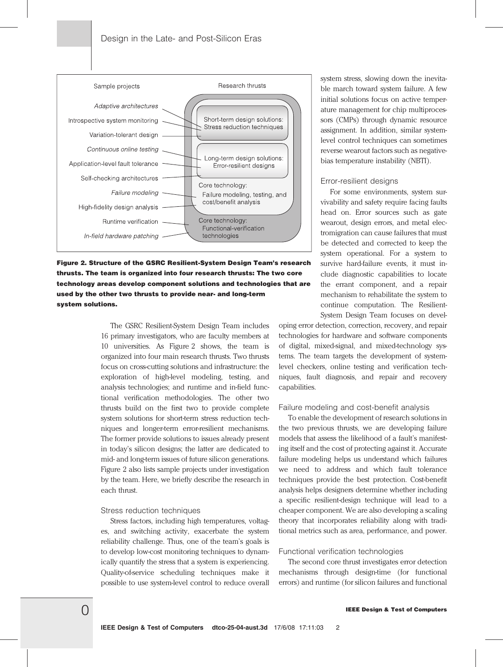

Figure 2. Structure of the GSRC Resilient-System Design Team's research thrusts. The team is organized into four research thrusts: The two core technology areas develop component solutions and technologies that are used by the other two thrusts to provide near- and long-term system solutions.

The GSRC Resilient-System Design Team includes 16 primary investigators, who are faculty members at 10 universities. As Figure 2 shows, the team is organized into four main research thrusts. Two thrusts focus on cross-cutting solutions and infrastructure: the exploration of high-level modeling, testing, and analysis technologies; and runtime and in-field functional verification methodologies. The other two thrusts build on the first two to provide complete system solutions for short-term stress reduction techniques and longer-term error-resilient mechanisms. The former provide solutions to issues already present in today's silicon designs; the latter are dedicated to mid- and long-term issues of future silicon generations. Figure 2 also lists sample projects under investigation by the team. Here, we briefly describe the research in each thrust.

## Stress reduction techniques

Stress factors, including high temperatures, voltages, and switching activity, exacerbate the system reliability challenge. Thus, one of the team's goals is to develop low-cost monitoring techniques to dynamically quantify the stress that a system is experiencing. Quality-of-service scheduling techniques make it possible to use system-level control to reduce overall

system stress, slowing down the inevitable march toward system failure. A few initial solutions focus on active temperature management for chip multiprocessors (CMPs) through dynamic resource assignment. In addition, similar systemlevel control techniques can sometimes reverse wearout factors such as negativebias temperature instability (NBTI).

## Error-resilient designs

For some environments, system survivability and safety require facing faults head on. Error sources such as gate wearout, design errors, and metal electromigration can cause failures that must be detected and corrected to keep the system operational. For a system to survive hard-failure events, it must include diagnostic capabilities to locate the errant component, and a repair mechanism to rehabilitate the system to continue computation. The Resilient-System Design Team focuses on devel-

oping error detection, correction, recovery, and repair technologies for hardware and software components of digital, mixed-signal, and mixed-technology systems. The team targets the development of systemlevel checkers, online testing and verification techniques, fault diagnosis, and repair and recovery capabilities.

## Failure modeling and cost-benefit analysis

To enable the development of research solutions in the two previous thrusts, we are developing failure models that assess the likelihood of a fault's manifesting itself and the cost of protecting against it. Accurate failure modeling helps us understand which failures we need to address and which fault tolerance techniques provide the best protection. Cost-benefit analysis helps designers determine whether including a specific resilient-design technique will lead to a cheaper component. We are also developing a scaling theory that incorporates reliability along with traditional metrics such as area, performance, and power.

#### Functional verification technologies

The second core thrust investigates error detection mechanisms through design-time (for functional errors) and runtime (for silicon failures and functional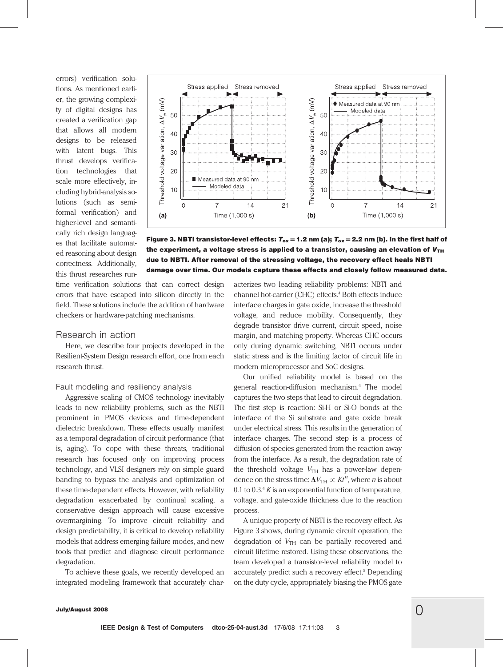errors) verification solutions. As mentioned earlier, the growing complexity of digital designs has created a verification gap that allows all modern designs to be released with latent bugs. This thrust develops verification technologies that scale more effectively, including hybrid-analysis solutions (such as semiformal verification) and higher-level and semantically rich design languages that facilitate automated reasoning about design correctness. Additionally, this thrust researches run-





time verification solutions that can correct design errors that have escaped into silicon directly in the field. These solutions include the addition of hardware checkers or hardware-patching mechanisms.

## Research in action

Here, we describe four projects developed in the Resilient-System Design research effort, one from each research thrust.

## Fault modeling and resiliency analysis

Aggressive scaling of CMOS technology inevitably leads to new reliability problems, such as the NBTI prominent in PMOS devices and time-dependent dielectric breakdown. These effects usually manifest as a temporal degradation of circuit performance (that is, aging). To cope with these threats, traditional research has focused only on improving process technology, and VLSI designers rely on simple guard banding to bypass the analysis and optimization of these time-dependent effects. However, with reliability degradation exacerbated by continual scaling, a conservative design approach will cause excessive overmargining. To improve circuit reliability and design predictability, it is critical to develop reliability models that address emerging failure modes, and new tools that predict and diagnose circuit performance degradation.

To achieve these goals, we recently developed an integrated modeling framework that accurately characterizes two leading reliability problems: NBTI and channel hot-carrier (CHC) effects.<sup>4</sup> Both effects induce interface charges in gate oxide, increase the threshold voltage, and reduce mobility. Consequently, they degrade transistor drive current, circuit speed, noise margin, and matching property. Whereas CHC occurs only during dynamic switching, NBTI occurs under static stress and is the limiting factor of circuit life in modern microprocessor and SoC designs.

Our unified reliability model is based on the general reaction-diffusion mechanism.4 The model captures the two steps that lead to circuit degradation. The first step is reaction: Si-H or Si-O bonds at the interface of the Si substrate and gate oxide break under electrical stress. This results in the generation of interface charges. The second step is a process of diffusion of species generated from the reaction away from the interface. As a result, the degradation rate of the threshold voltage  $V<sub>TH</sub>$  has a power-law dependence on the stress time:  $\Delta V_{\text{TH}} \propto Kt^n$ , where *n* is about 0.1 to  $0.3.4 K$  is an exponential function of temperature, voltage, and gate-oxide thickness due to the reaction process.

A unique property of NBTI is the recovery effect. As Figure 3 shows, during dynamic circuit operation, the degradation of  $V<sub>TH</sub>$  can be partially recovered and circuit lifetime restored. Using these observations, the team developed a transistor-level reliability model to accurately predict such a recovery effect.<sup>5</sup> Depending on the duty cycle, appropriately biasing the PMOS gate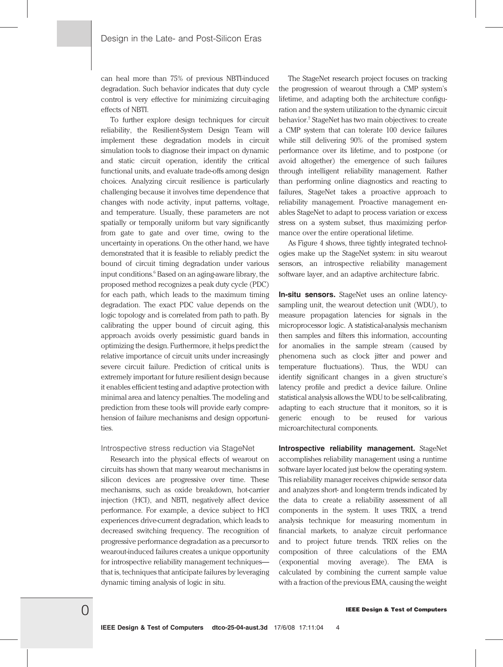can heal more than 75% of previous NBTI-induced degradation. Such behavior indicates that duty cycle control is very effective for minimizing circuit-aging effects of NBTI.

To further explore design techniques for circuit reliability, the Resilient-System Design Team will implement these degradation models in circuit simulation tools to diagnose their impact on dynamic and static circuit operation, identify the critical functional units, and evaluate trade-offs among design choices. Analyzing circuit resilience is particularly challenging because it involves time dependence that changes with node activity, input patterns, voltage, and temperature. Usually, these parameters are not spatially or temporally uniform but vary significantly from gate to gate and over time, owing to the uncertainty in operations. On the other hand, we have demonstrated that it is feasible to reliably predict the bound of circuit timing degradation under various input conditions.<sup>6</sup> Based on an aging-aware library, the proposed method recognizes a peak duty cycle (PDC) for each path, which leads to the maximum timing degradation. The exact PDC value depends on the logic topology and is correlated from path to path. By calibrating the upper bound of circuit aging, this approach avoids overly pessimistic guard bands in optimizing the design. Furthermore, it helps predict the relative importance of circuit units under increasingly severe circuit failure. Prediction of critical units is extremely important for future resilient design because it enables efficient testing and adaptive protection with minimal area and latency penalties. The modeling and prediction from these tools will provide early comprehension of failure mechanisms and design opportunities.

Introspective stress reduction via StageNet

Research into the physical effects of wearout on circuits has shown that many wearout mechanisms in silicon devices are progressive over time. These mechanisms, such as oxide breakdown, hot-carrier injection (HCI), and NBTI, negatively affect device performance. For example, a device subject to HCI experiences drive-current degradation, which leads to decreased switching frequency. The recognition of progressive performance degradation as a precursor to wearout-induced failures creates a unique opportunity for introspective reliability management techniques that is, techniques that anticipate failures by leveraging dynamic timing analysis of logic in situ.

The StageNet research project focuses on tracking the progression of wearout through a CMP system's lifetime, and adapting both the architecture configuration and the system utilization to the dynamic circuit behavior.7 StageNet has two main objectives: to create a CMP system that can tolerate 100 device failures while still delivering 90% of the promised system performance over its lifetime, and to postpone (or avoid altogether) the emergence of such failures through intelligent reliability management. Rather than performing online diagnostics and reacting to failures, StageNet takes a proactive approach to reliability management. Proactive management enables StageNet to adapt to process variation or excess stress on a system subset, thus maximizing performance over the entire operational lifetime.

As Figure 4 shows, three tightly integrated technologies make up the StageNet system: in situ wearout sensors, an introspective reliability management software layer, and an adaptive architecture fabric.

In-situ sensors. StageNet uses an online latencysampling unit, the wearout detection unit (WDU), to measure propagation latencies for signals in the microprocessor logic. A statistical-analysis mechanism then samples and filters this information, accounting for anomalies in the sample stream (caused by phenomena such as clock jitter and power and temperature fluctuations). Thus, the WDU can identify significant changes in a given structure's latency profile and predict a device failure. Online statistical analysis allows the WDU to be self-calibrating, adapting to each structure that it monitors, so it is generic enough to be reused for various microarchitectural components.

Introspective reliability management. StageNet accomplishes reliability management using a runtime software layer located just below the operating system. This reliability manager receives chipwide sensor data and analyzes short- and long-term trends indicated by the data to create a reliability assessment of all components in the system. It uses TRIX, a trend analysis technique for measuring momentum in financial markets, to analyze circuit performance and to project future trends. TRIX relies on the composition of three calculations of the EMA (exponential moving average). The EMA is calculated by combining the current sample value with a fraction of the previous EMA, causing the weight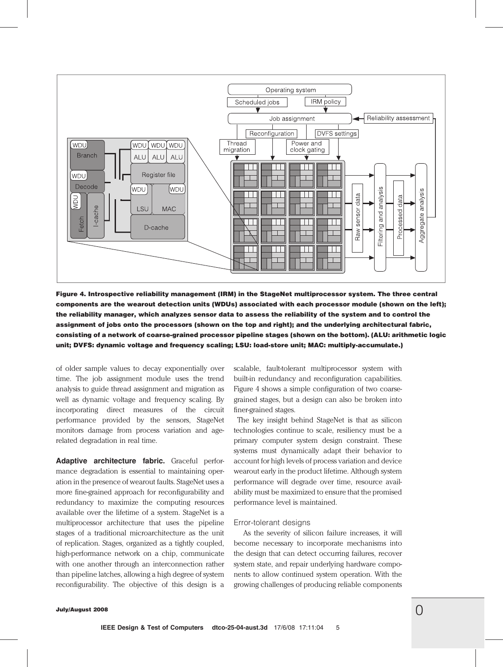

Figure 4. Introspective reliability management (IRM) in the StageNet multiprocessor system. The three central components are the wearout detection units (WDUs) associated with each processor module (shown on the left); the reliability manager, which analyzes sensor data to assess the reliability of the system and to control the assignment of jobs onto the processors (shown on the top and right); and the underlying architectural fabric, consisting of a network of coarse-grained processor pipeline stages (shown on the bottom). (ALU: arithmetic logic unit; DVFS: dynamic voltage and frequency scaling; LSU: load-store unit; MAC: multiply-accumulate.)

of older sample values to decay exponentially over time. The job assignment module uses the trend analysis to guide thread assignment and migration as well as dynamic voltage and frequency scaling. By incorporating direct measures of the circuit performance provided by the sensors, StageNet monitors damage from process variation and agerelated degradation in real time.

Adaptive architecture fabric. Graceful performance degradation is essential to maintaining operation in the presence of wearout faults. StageNet uses a more fine-grained approach for reconfigurability and redundancy to maximize the computing resources available over the lifetime of a system. StageNet is a multiprocessor architecture that uses the pipeline stages of a traditional microarchitecture as the unit of replication. Stages, organized as a tightly coupled, high-performance network on a chip, communicate with one another through an interconnection rather than pipeline latches, allowing a high degree of system reconfigurability. The objective of this design is a

scalable, fault-tolerant multiprocessor system with built-in redundancy and reconfiguration capabilities. Figure 4 shows a simple configuration of two coarsegrained stages, but a design can also be broken into finer-grained stages.

The key insight behind StageNet is that as silicon technologies continue to scale, resiliency must be a primary computer system design constraint. These systems must dynamically adapt their behavior to account for high levels of process variation and device wearout early in the product lifetime. Although system performance will degrade over time, resource availability must be maximized to ensure that the promised performance level is maintained.

### Error-tolerant designs

As the severity of silicon failure increases, it will become necessary to incorporate mechanisms into the design that can detect occurring failures, recover system state, and repair underlying hardware components to allow continued system operation. With the growing challenges of producing reliable components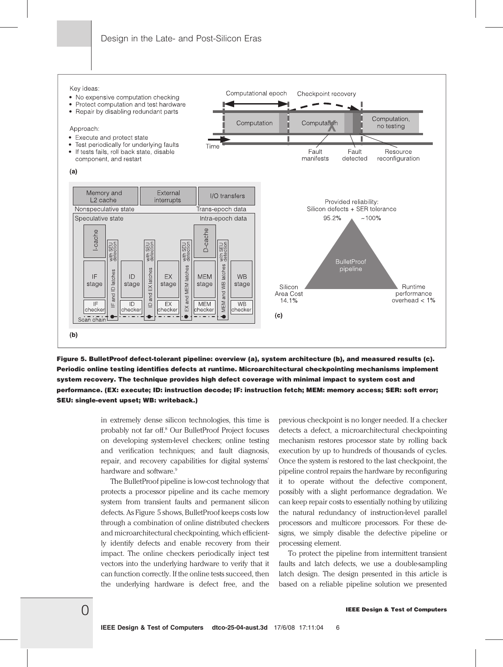



in extremely dense silicon technologies, this time is probably not far off.8 Our BulletProof Project focuses on developing system-level checkers; online testing and verification techniques; and fault diagnosis, repair, and recovery capabilities for digital systems' hardware and software.<sup>9</sup>

The BulletProof pipeline is low-cost technology that protects a processor pipeline and its cache memory system from transient faults and permanent silicon defects. As Figure 5 shows, BulletProof keeps costs low through a combination of online distributed checkers and microarchitectural checkpointing, which efficiently identify defects and enable recovery from their impact. The online checkers periodically inject test vectors into the underlying hardware to verify that it can function correctly. If the online tests succeed, then the underlying hardware is defect free, and the previous checkpoint is no longer needed. If a checker detects a defect, a microarchitectural checkpointing mechanism restores processor state by rolling back execution by up to hundreds of thousands of cycles. Once the system is restored to the last checkpoint, the pipeline control repairs the hardware by reconfiguring it to operate without the defective component, possibly with a slight performance degradation. We can keep repair costs to essentially nothing by utilizing the natural redundancy of instruction-level parallel processors and multicore processors. For these designs, we simply disable the defective pipeline or processing element.

To protect the pipeline from intermittent transient faults and latch defects, we use a double-sampling latch design. The design presented in this article is based on a reliable pipeline solution we presented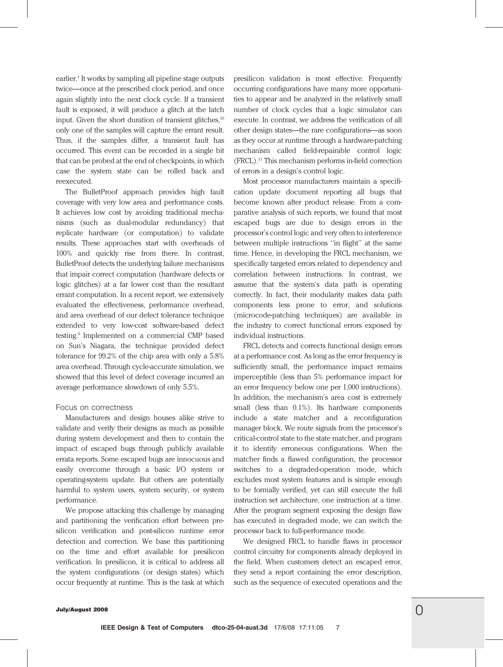earlier.<sup>1</sup> It works by sampling all pipeline stage outputs twice—once at the prescribed clock period, and once again slightly into the next clock cycle. If a transient fault is exposed, it will produce a glitch at the latch input. Given the short duration of transient glitches, $10$ only one of the samples will capture the errant result. Thus, if the samples differ, a transient fault has occurred. This event can be recorded in a single bit that can be probed at the end of checkpoints, in which case the system state can be rolled back and reexecuted.

The BulletProof approach provides high fault coverage with very low area and performance costs. It achieves low cost by avoiding traditional mechanisms (such as dual-modular redundancy) that replicate hardware (or computation) to validate results. These approaches start with overheads of 100% and quickly rise from there. In contrast, BulletProof detects the underlying failure mechanisms that impair correct computation (hardware defects or logic glitches) at a far lower cost than the resultant errant computation. In a recent report, we extensively evaluated the effectiveness, performance overhead, and area overhead of our defect tolerance technique extended to very low-cost software-based defect testing.9 Implemented on a commercial CMP based on Sun's Niagara, the technique provided defect tolerance for 99.2% of the chip area with only a 5.8% area overhead. Through cycle-accurate simulation, we showed that this level of defect coverage incurred an average performance slowdown of only 5.5%.

#### Focus on correctness

Manufacturers and design houses alike strive to validate and verify their designs as much as possible during system development and then to contain the impact of escaped bugs through publicly available errata reports. Some escaped bugs are innocuous and easily overcome through a basic I/O system or operating-system update. But others are potentially harmful to system users, system security, or system performance.

We propose attacking this challenge by managing and partitioning the verification effort between presilicon verification and post-silicon runtime error detection and correction. We base this partitioning on the time and effort available for presilicon verification. In presilicon, it is critical to address all the system configurations (or design states) which occur frequently at runtime. This is the task at which

presilicon validation is most effective. Frequently occurring configurations have many more opportunities to appear and be analyzed in the relatively small number of clock cycles that a logic simulator can execute. In contrast, we address the verification of all other design states—the rare configurations—as soon as they occur at runtime through a hardware-patching mechanism called field-repairable control logic (FRCL).11 This mechanism performs in-field correction of errors in a design's control logic.

Most processor manufacturers maintain a specification update document reporting all bugs that become known after product release. From a comparative analysis of such reports, we found that most escaped bugs are due to design errors in the processor's control logic and very often to interference between multiple instructions ''in flight'' at the same time. Hence, in developing the FRCL mechanism, we specifically targeted errors related to dependency and correlation between instructions. In contrast, we assume that the system's data path is operating correctly. In fact, their modularity makes data path components less prone to error, and solutions (microcode-patching techniques) are available in the industry to correct functional errors exposed by individual instructions.

FRCL detects and corrects functional design errors at a performance cost. As long as the error frequency is sufficiently small, the performance impact remains imperceptible (less than 5% performance impact for an error frequency below one per 1,000 instructions). In addition, the mechanism's area cost is extremely small (less than 0.1%). Its hardware components include a state matcher and a reconfiguration manager block. We route signals from the processor's critical-control state to the state matcher, and program it to identify erroneous configurations. When the matcher finds a flawed configuration, the processor switches to a degraded-operation mode, which excludes most system features and is simple enough to be formally verified, yet can still execute the full instruction set architecture, one instruction at a time. After the program segment exposing the design flaw has executed in degraded mode, we can switch the processor back to full-performance mode.

We designed FRCL to handle flaws in processor control circuitry for components already deployed in the field. When customers detect an escaped error, they send a report containing the error description, such as the sequence of executed operations and the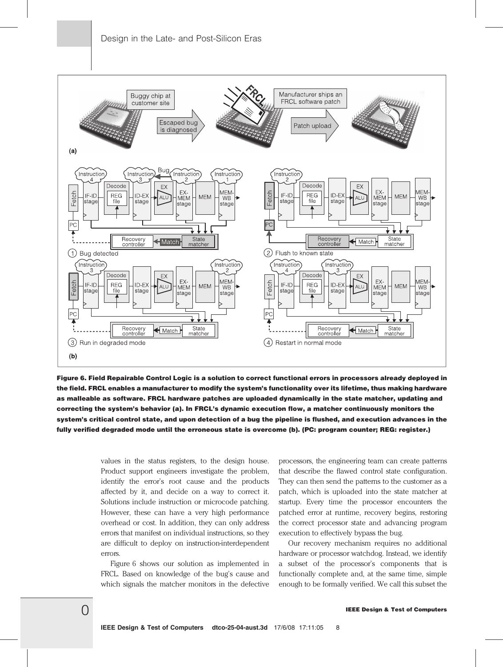

Figure 6. Field Repairable Control Logic is a solution to correct functional errors in processors already deployed in the field. FRCL enables a manufacturer to modify the system's functionality over its lifetime, thus making hardware as malleable as software. FRCL hardware patches are uploaded dynamically in the state matcher, updating and correcting the system's behavior (a). In FRCL's dynamic execution flow, a matcher continuously monitors the system's critical control state, and upon detection of a bug the pipeline is flushed, and execution advances in the fully verified degraded mode until the erroneous state is overcome (b). (PC: program counter; REG: register.)

> values in the status registers, to the design house. Product support engineers investigate the problem, identify the error's root cause and the products affected by it, and decide on a way to correct it. Solutions include instruction or microcode patching. However, these can have a very high performance overhead or cost. In addition, they can only address errors that manifest on individual instructions, so they are difficult to deploy on instruction-interdependent errors.

> Figure 6 shows our solution as implemented in FRCL. Based on knowledge of the bug's cause and which signals the matcher monitors in the defective

processors, the engineering team can create patterns that describe the flawed control state configuration. They can then send the patterns to the customer as a patch, which is uploaded into the state matcher at startup. Every time the processor encounters the patched error at runtime, recovery begins, restoring the correct processor state and advancing program execution to effectively bypass the bug.

Our recovery mechanism requires no additional hardware or processor watchdog. Instead, we identify a subset of the processor's components that is functionally complete and, at the same time, simple enough to be formally verified. We call this subset the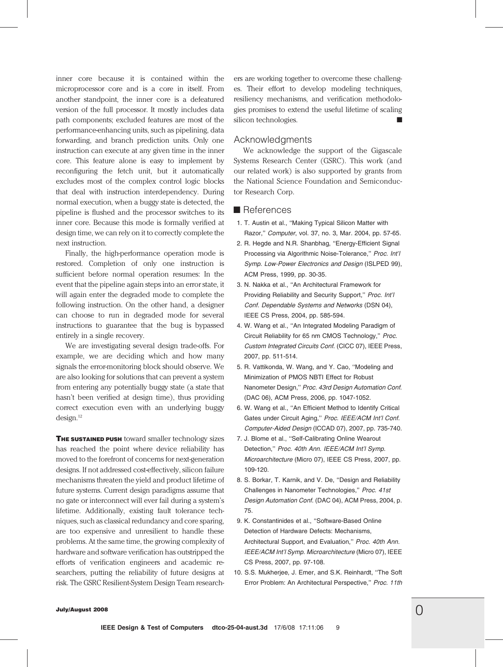inner core because it is contained within the microprocessor core and is a core in itself. From another standpoint, the inner core is a defeatured version of the full processor. It mostly includes data path components; excluded features are most of the performance-enhancing units, such as pipelining, data forwarding, and branch prediction units. Only one instruction can execute at any given time in the inner core. This feature alone is easy to implement by reconfiguring the fetch unit, but it automatically excludes most of the complex control logic blocks that deal with instruction interdependency. During normal execution, when a buggy state is detected, the pipeline is flushed and the processor switches to its inner core. Because this mode is formally verified at design time, we can rely on it to correctly complete the next instruction.

Finally, the high-performance operation mode is restored. Completion of only one instruction is sufficient before normal operation resumes: In the event that the pipeline again steps into an error state, it will again enter the degraded mode to complete the following instruction. On the other hand, a designer can choose to run in degraded mode for several instructions to guarantee that the bug is bypassed entirely in a single recovery.

We are investigating several design trade-offs. For example, we are deciding which and how many signals the error-monitoring block should observe. We are also looking for solutions that can prevent a system from entering any potentially buggy state (a state that hasn't been verified at design time), thus providing correct execution even with an underlying buggy design.<sup>12</sup>

THE SUSTAINED PUSH toward smaller technology sizes has reached the point where device reliability has moved to the forefront of concerns for next-generation designs. If not addressed cost-effectively, silicon failure mechanisms threaten the yield and product lifetime of future systems. Current design paradigms assume that no gate or interconnect will ever fail during a system's lifetime. Additionally, existing fault tolerance techniques, such as classical redundancy and core sparing, are too expensive and unresilient to handle these problems. At the same time, the growing complexity of hardware and software verification has outstripped the efforts of verification engineers and academic researchers, putting the reliability of future designs at risk. The GSRC Resilient-System Design Team researchers are working together to overcome these challenges. Their effort to develop modeling techniques, resiliency mechanisms, and verification methodologies promises to extend the useful lifetime of scaling silicon technologies.

## Acknowledgments

We acknowledge the support of the Gigascale Systems Research Center (GSRC). This work (and our related work) is also supported by grants from the National Science Foundation and Semiconductor Research Corp.

## ■ References

- 1. T. Austin et al., ''Making Typical Silicon Matter with Razor,'' Computer, vol. 37, no. 3, Mar. 2004, pp. 57-65.
- 2. R. Hegde and N.R. Shanbhag, ''Energy-Efficient Signal Processing via Algorithmic Noise-Tolerance,'' Proc. Int'l Symp. Low-Power Electronics and Design (ISLPED 99), ACM Press, 1999, pp. 30-35.
- 3. N. Nakka et al., ''An Architectural Framework for Providing Reliability and Security Support," Proc. Int'l Conf. Dependable Systems and Networks (DSN 04), IEEE CS Press, 2004, pp. 585-594.
- 4. W. Wang et al., ''An Integrated Modeling Paradigm of Circuit Reliability for 65 nm CMOS Technology,'' Proc. Custom Integrated Circuits Conf. (CICC 07), IEEE Press, 2007, pp. 511-514.
- 5. R. Vattikonda, W. Wang, and Y. Cao, ''Modeling and Minimization of PMOS NBTI Effect for Robust Nanometer Design,'' Proc. 43rd Design Automation Conf. (DAC 06), ACM Press, 2006, pp. 1047-1052.
- 6. W. Wang et al., ''An Efficient Method to Identify Critical Gates under Circuit Aging," Proc. IEEE/ACM Int'l Conf. Computer-Aided Design (ICCAD 07), 2007, pp. 735-740.
- 7. J. Blome et al., ''Self-Calibrating Online Wearout Detection," Proc. 40th Ann. IEEE/ACM Int'l Symp. Microarchitecture (Micro 07), IEEE CS Press, 2007, pp. 109-120.
- 8. S. Borkar, T. Karnik, and V. De, ''Design and Reliability Challenges in Nanometer Technologies,'' Proc. 41st Design Automation Conf. (DAC 04), ACM Press, 2004, p. 75.
- 9. K. Constantinides et al., ''Software-Based Online Detection of Hardware Defects: Mechanisms, Architectural Support, and Evaluation,'' Proc. 40th Ann. IEEE/ACM Int'l Symp. Microarchitecture (Micro 07), IEEE CS Press, 2007, pp. 97-108.
- 10. S.S. Mukherjee, J. Emer, and S.K. Reinhardt, ''The Soft Error Problem: An Architectural Perspective," Proc. 11th

#### July/August 2008